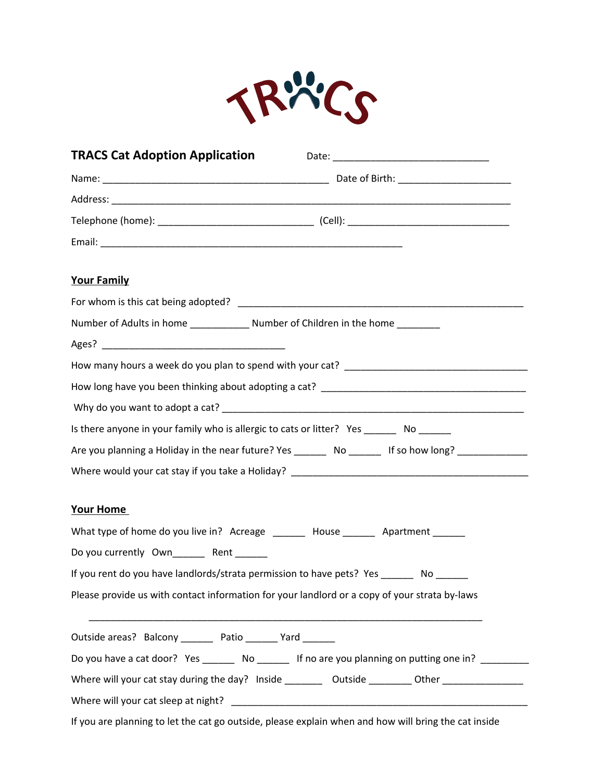

| <b>TRACS Cat Adoption Application</b>                                                         |                                                                                                                |
|-----------------------------------------------------------------------------------------------|----------------------------------------------------------------------------------------------------------------|
|                                                                                               |                                                                                                                |
|                                                                                               |                                                                                                                |
|                                                                                               |                                                                                                                |
|                                                                                               |                                                                                                                |
| <b>Your Family</b>                                                                            |                                                                                                                |
|                                                                                               |                                                                                                                |
|                                                                                               |                                                                                                                |
|                                                                                               |                                                                                                                |
|                                                                                               |                                                                                                                |
|                                                                                               |                                                                                                                |
|                                                                                               |                                                                                                                |
| Is there anyone in your family who is allergic to cats or litter? Yes ________ No ______      |                                                                                                                |
|                                                                                               | Are you planning a Holiday in the near future? Yes __________ No _________ If so how long? ______________      |
|                                                                                               |                                                                                                                |
| Your Home                                                                                     |                                                                                                                |
| What type of home do you live in? Acreage ______ House ______ Apartment ______                |                                                                                                                |
| Do you currently Own________ Rent ______                                                      |                                                                                                                |
| If you rent do you have landlords/strata permission to have pets? Yes ________ No ______      |                                                                                                                |
| Please provide us with contact information for your landlord or a copy of your strata by-laws |                                                                                                                |
| Outside areas? Balcony ________ Patio _______ Yard _______                                    |                                                                                                                |
|                                                                                               | Do you have a cat door? Yes _______ No _______ If no are you planning on putting one in? ________              |
|                                                                                               | Where will your cat stay during the day? Inside ____________ Outside __________Other _________________________ |
|                                                                                               |                                                                                                                |

If you are planning to let the cat go outside, please explain when and how will bring the cat inside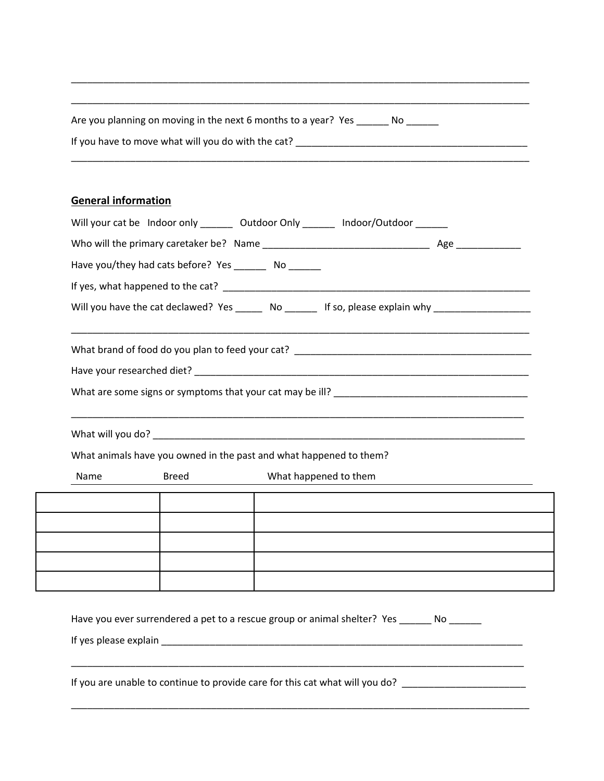| Are you planning on moving in the next 6 months to a year? Yes<br>N0 |  |
|----------------------------------------------------------------------|--|
| If you have to move what will you do with the cat?                   |  |
|                                                                      |  |

\_\_\_\_\_\_\_\_\_\_\_\_\_\_\_\_\_\_\_\_\_\_\_\_\_\_\_\_\_\_\_\_\_\_\_\_\_\_\_\_\_\_\_\_\_\_\_\_\_\_\_\_\_\_\_\_\_\_\_\_\_\_\_\_\_\_\_\_\_\_\_\_\_\_\_\_\_\_\_\_\_\_\_\_\_

\_\_\_\_\_\_\_\_\_\_\_\_\_\_\_\_\_\_\_\_\_\_\_\_\_\_\_\_\_\_\_\_\_\_\_\_\_\_\_\_\_\_\_\_\_\_\_\_\_\_\_\_\_\_\_\_\_\_\_\_\_\_\_\_\_\_\_\_\_\_\_\_\_\_\_\_\_\_\_\_\_\_\_\_\_

## **General information**

| Will your cat be Indoor only ________ Outdoor Only _______ Indoor/Outdoor ______                    |  |
|-----------------------------------------------------------------------------------------------------|--|
|                                                                                                     |  |
| Have you/they had cats before? Yes _________ No _______                                             |  |
|                                                                                                     |  |
| Will you have the cat declawed? Yes _______ No _______ If so, please explain why __________________ |  |
|                                                                                                     |  |
|                                                                                                     |  |
|                                                                                                     |  |
|                                                                                                     |  |
|                                                                                                     |  |
| What animals have you owned in the past and what happened to them?                                  |  |
| What happened to them<br>Breed<br>Name                                                              |  |
|                                                                                                     |  |
|                                                                                                     |  |
|                                                                                                     |  |
|                                                                                                     |  |
|                                                                                                     |  |
|                                                                                                     |  |
| Have you ever surrendered a pet to a rescue group or animal shelter? Yes No                         |  |
| If yes please explain                                                                               |  |

\_\_\_\_\_\_\_\_\_\_\_\_\_\_\_\_\_\_\_\_\_\_\_\_\_\_\_\_\_\_\_\_\_\_\_\_\_\_\_\_\_\_\_\_\_\_\_\_\_\_\_\_\_\_\_\_\_\_\_\_\_\_\_\_\_\_\_\_\_\_\_\_\_\_\_\_\_\_\_\_\_\_\_\_\_

\_\_\_\_\_\_\_\_\_\_\_\_\_\_\_\_\_\_\_\_\_\_\_\_\_\_\_\_\_\_\_\_\_\_\_\_\_\_\_\_\_\_\_\_\_\_\_\_\_\_\_\_\_\_\_\_\_\_\_\_\_\_\_\_\_\_\_\_\_\_\_\_\_\_\_\_\_\_\_\_\_\_\_\_

If you are unable to continue to provide care for this cat what will you do? \_\_\_\_\_\_\_\_\_\_\_\_\_\_\_\_\_\_\_\_\_\_\_\_\_\_\_\_\_\_\_\_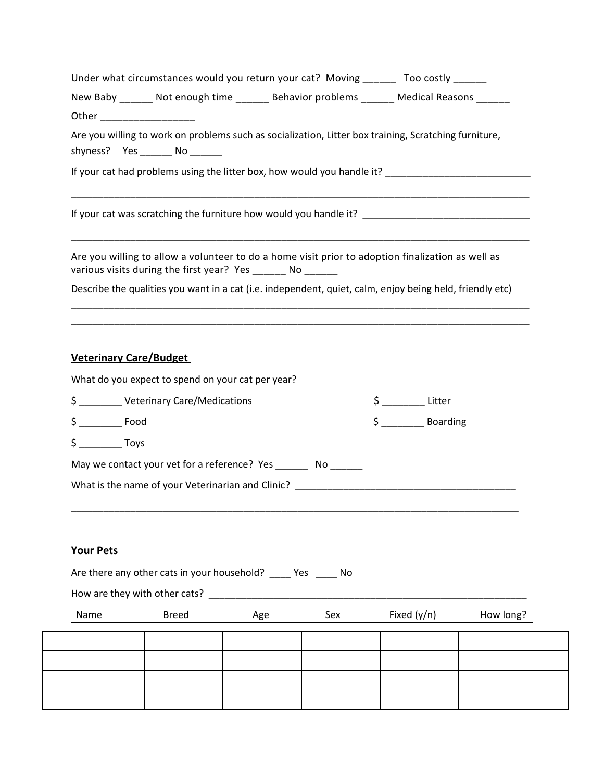| Under what circumstances would you return your cat? Moving _______ Too costly ______                                                                                                                                          |                        |
|-------------------------------------------------------------------------------------------------------------------------------------------------------------------------------------------------------------------------------|------------------------|
| New Baby ______ Not enough time ______ Behavior problems ______ Medical Reasons ______                                                                                                                                        |                        |
| Other ____________________                                                                                                                                                                                                    |                        |
| Are you willing to work on problems such as socialization, Litter box training, Scratching furniture,                                                                                                                         |                        |
| If your cat had problems using the litter box, how would you handle it? ____________________________                                                                                                                          |                        |
|                                                                                                                                                                                                                               |                        |
| Are you willing to allow a volunteer to do a home visit prior to adoption finalization as well as<br>various visits during the first year? Yes _______ No ______                                                              |                        |
| Describe the qualities you want in a cat (i.e. independent, quiet, calm, enjoy being held, friendly etc)                                                                                                                      |                        |
| <b>Veterinary Care/Budget</b>                                                                                                                                                                                                 |                        |
| What do you expect to spend on your cat per year?                                                                                                                                                                             |                        |
| \$ __________ Veterinary Care/Medications                                                                                                                                                                                     | $\frac{1}{2}$ Litter   |
| $\frac{1}{2}$ Food                                                                                                                                                                                                            | $\frac{1}{2}$ Boarding |
| $\sin 5$ Toys                                                                                                                                                                                                                 |                        |
| May we contact your vet for a reference? Yes _________ No _______                                                                                                                                                             |                        |
| What is the name of your Veterinarian and Clinic? Department of the control of the state of the state of the state of the state of the state of the state of the state of the state of the state of the state of the state of |                        |

## **Your Pets**

|                               | Are there any other cats in your household? ______ Yes ______ No |     |     |               |           |  |  |  |  |
|-------------------------------|------------------------------------------------------------------|-----|-----|---------------|-----------|--|--|--|--|
| How are they with other cats? |                                                                  |     |     |               |           |  |  |  |  |
| Name                          | <b>Breed</b>                                                     | Age | Sex | Fixed $(y/n)$ | How long? |  |  |  |  |
|                               |                                                                  |     |     |               |           |  |  |  |  |
|                               |                                                                  |     |     |               |           |  |  |  |  |
|                               |                                                                  |     |     |               |           |  |  |  |  |
|                               |                                                                  |     |     |               |           |  |  |  |  |
|                               |                                                                  |     |     |               |           |  |  |  |  |